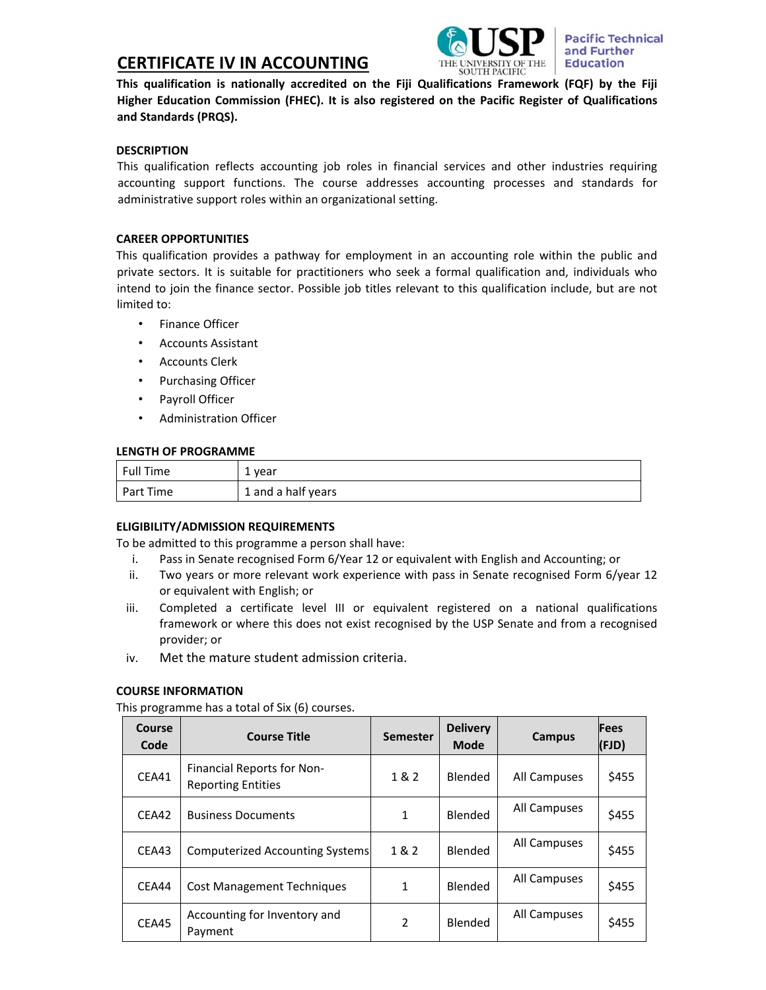# **CERTIFICATE IV IN ACCOUNTING**



**This qualification is nationally accredited on the Fiji Qualifications Framework (FQF) by the Fiji Higher Education Commission (FHEC). It is also registered on the Pacific Register of Qualifications and Standards (PRQS).**

## **DESCRIPTION**

This qualification reflects accounting job roles in financial services and other industries requiring accounting support functions. The course addresses accounting processes and standards for administrative support roles within an organizational setting.

# **CAREER OPPORTUNITIES**

This qualification provides a pathway for employment in an accounting role within the public and private sectors. It is suitable for practitioners who seek a formal qualification and, individuals who intend to join the finance sector. Possible job titles relevant to this qualification include, but are not limited to:

- Finance Officer
- Accounts Assistant
- Accounts Clerk
- Purchasing Officer
- Payroll Officer
- Administration Officer

#### **LENGTH OF PROGRAMME**

| Full Time | 1 year             |
|-----------|--------------------|
| Part Time | 1 and a half years |

## **ELIGIBILITY/ADMISSION REQUIREMENTS**

To be admitted to this programme a person shall have:

- i. Pass in Senate recognised Form 6/Year 12 or equivalent with English and Accounting; or
- ii. Two years or more relevant work experience with pass in Senate recognised Form 6/year 12 or equivalent with English; or
- iii. Completed a certificate level III or equivalent registered on a national qualifications framework or where this does not exist recognised by the USP Senate and from a recognised provider; or
- iv. Met the mature student admission criteria.

## **COURSE INFORMATION**

This programme has a total of Six (6) courses.

| Course<br>Code | <b>Course Title</b>                                     | <b>Semester</b> | <b>Delivery</b><br>Mode | Campus       | <b>Fees</b><br>(FJD) |
|----------------|---------------------------------------------------------|-----------------|-------------------------|--------------|----------------------|
| CEA41          | Financial Reports for Non-<br><b>Reporting Entities</b> | 1 & 2           | Blended                 | All Campuses | \$455                |
| CEA42          | <b>Business Documents</b>                               | 1               | Blended                 | All Campuses | \$455                |
| CEA43          | <b>Computerized Accounting Systems</b>                  | 1 & 2           | Blended                 | All Campuses | \$455                |
| CEA44          | <b>Cost Management Techniques</b>                       | 1               | Blended                 | All Campuses | \$455                |
| CEA45          | Accounting for Inventory and<br>Payment                 | 2               | Blended                 | All Campuses | \$455                |